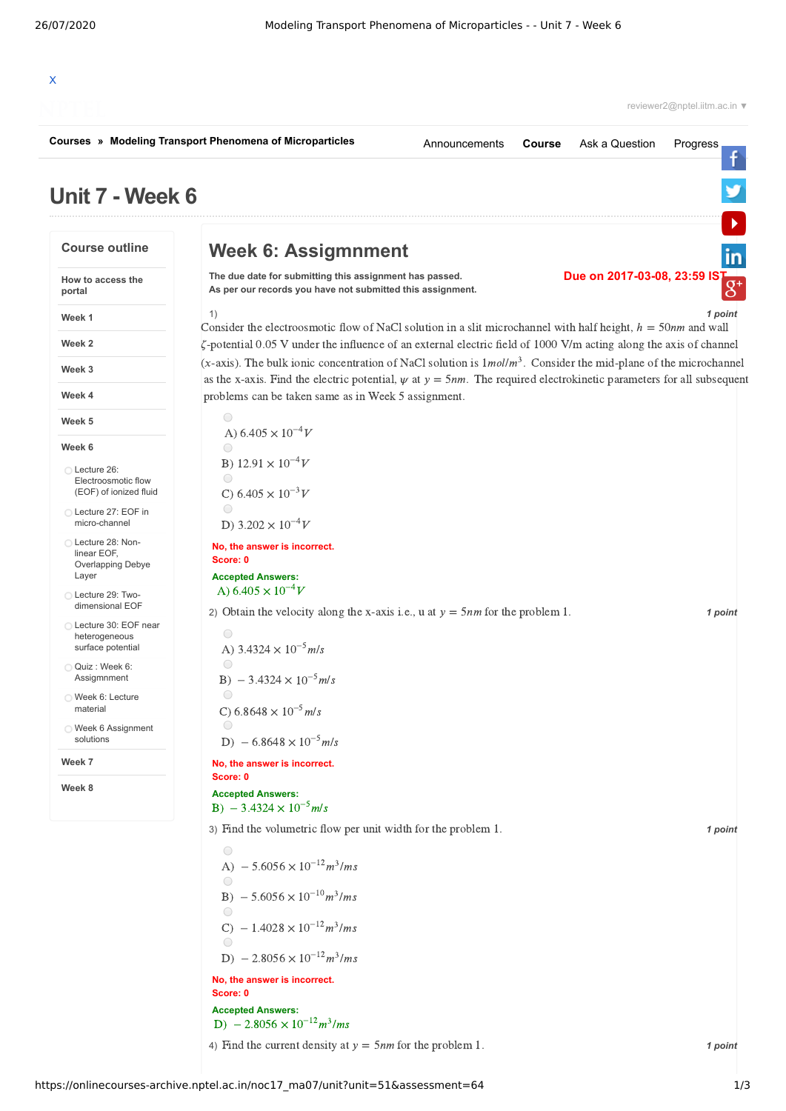|                                                                | Courses » Modeling Transport Phenomena of Microparticles<br>Ask a Question<br>Announcements<br>Course<br>Progress                                                                                                                          |         |
|----------------------------------------------------------------|--------------------------------------------------------------------------------------------------------------------------------------------------------------------------------------------------------------------------------------------|---------|
| Unit 7 - Week 6                                                |                                                                                                                                                                                                                                            |         |
| <b>Course outline</b>                                          | <b>Week 6: Assigmnment</b>                                                                                                                                                                                                                 |         |
| How to access the<br>portal                                    | Due on 2017-03-08, 23:59 IS<br>The due date for submitting this assignment has passed.<br>As per our records you have not submitted this assignment.                                                                                       | $g^*$   |
| Week 1                                                         | 1)                                                                                                                                                                                                                                         | 1 point |
| Week 2                                                         | Consider the electroosmotic flow of NaCl solution in a slit microchannel with half height, $h = 50nm$ and wall<br>$\zeta$ -potential 0.05 V under the influence of an external electric field of 1000 V/m acting along the axis of channel |         |
| Week 3                                                         | (x-axis). The bulk ionic concentration of NaCl solution is $1 \text{mol/m}^3$ . Consider the mid-plane of the microchannel                                                                                                                 |         |
| Week 4                                                         | as the x-axis. Find the electric potential, $\psi$ at $y = 5$ <i>nm</i> . The required electrokinetic parameters for all subsequent<br>problems can be taken same as in Week 5 assignment.                                                 |         |
|                                                                | $\bigcirc$                                                                                                                                                                                                                                 |         |
| Week 5                                                         | A) $6.405 \times 10^{-4} V$                                                                                                                                                                                                                |         |
| Week 6                                                         | $\bigcirc$<br>B) $12.91 \times 10^{-4} V$                                                                                                                                                                                                  |         |
| ◯ Lecture 26:<br>Electroosmotic flow<br>(EOF) of ionized fluid | $\bigcirc$<br>C) $6.405 \times 10^{-3} V$                                                                                                                                                                                                  |         |
| ◯ Lecture 27: EOF in<br>micro-channel                          | $\bigcirc$<br>D) $3.202 \times 10^{-4} V$                                                                                                                                                                                                  |         |
| ◯ Lecture 28: Non-<br>linear EOF,<br><b>Overlapping Debye</b>  | No, the answer is incorrect.<br>Score: 0                                                                                                                                                                                                   |         |
| Layer<br>Lecture 29: Two-                                      | <b>Accepted Answers:</b><br>A) $6.405 \times 10^{-4} V$                                                                                                                                                                                    |         |
| dimensional EOF                                                | 2) Obtain the velocity along the x-axis i.e., u at $y = 5$ <i>nm</i> for the problem 1.                                                                                                                                                    | 1 point |
| ◯ Lecture 30: EOF near<br>heterogeneous<br>surface potential   | $\bigcirc$<br>A) $3.4324 \times 10^{-5}$ m/s                                                                                                                                                                                               |         |
| Quiz : Week 6:<br>Assigmnment                                  | $\bigcirc$<br>B) $-3.4324 \times 10^{-5}$ m/s                                                                                                                                                                                              |         |
| ◯ Week 6: Lecture<br>material                                  | $\bigcirc$<br>C) $6.8648 \times 10^{-5}$ m/s                                                                                                                                                                                               |         |
| ◯ Week 6 Assignment<br>solutions                               | $\bigcirc$<br>D) $-6.8648 \times 10^{-5}$ m/s                                                                                                                                                                                              |         |
| Week 7                                                         | No, the answer is incorrect.                                                                                                                                                                                                               |         |
| Week 8                                                         | Score: 0                                                                                                                                                                                                                                   |         |
|                                                                | <b>Accepted Answers:</b><br>B) $-3.4324 \times 10^{-5}$ m/s                                                                                                                                                                                |         |
|                                                                | 3) Find the volumetric flow per unit width for the problem 1.                                                                                                                                                                              | 1 point |
|                                                                | $\bigcirc$                                                                                                                                                                                                                                 |         |
|                                                                | A) $-5.6056 \times 10^{-12} m^3 / ms$<br>$\bigcirc$                                                                                                                                                                                        |         |
|                                                                | B) $-5.6056 \times 10^{-10} m^3 / ms$                                                                                                                                                                                                      |         |
|                                                                | $\bigcirc$<br>C) $-1.4028 \times 10^{-12} m^3 / ms$<br>$\bigcirc$                                                                                                                                                                          |         |
|                                                                | D) $-2.8056 \times 10^{-12} m^3 / ms$                                                                                                                                                                                                      |         |
|                                                                | No, the answer is incorrect.                                                                                                                                                                                                               |         |
|                                                                | Score: 0<br><b>Accepted Answers:</b>                                                                                                                                                                                                       |         |
|                                                                | D) $-2.8056 \times 10^{-12} m^3 / ms$                                                                                                                                                                                                      |         |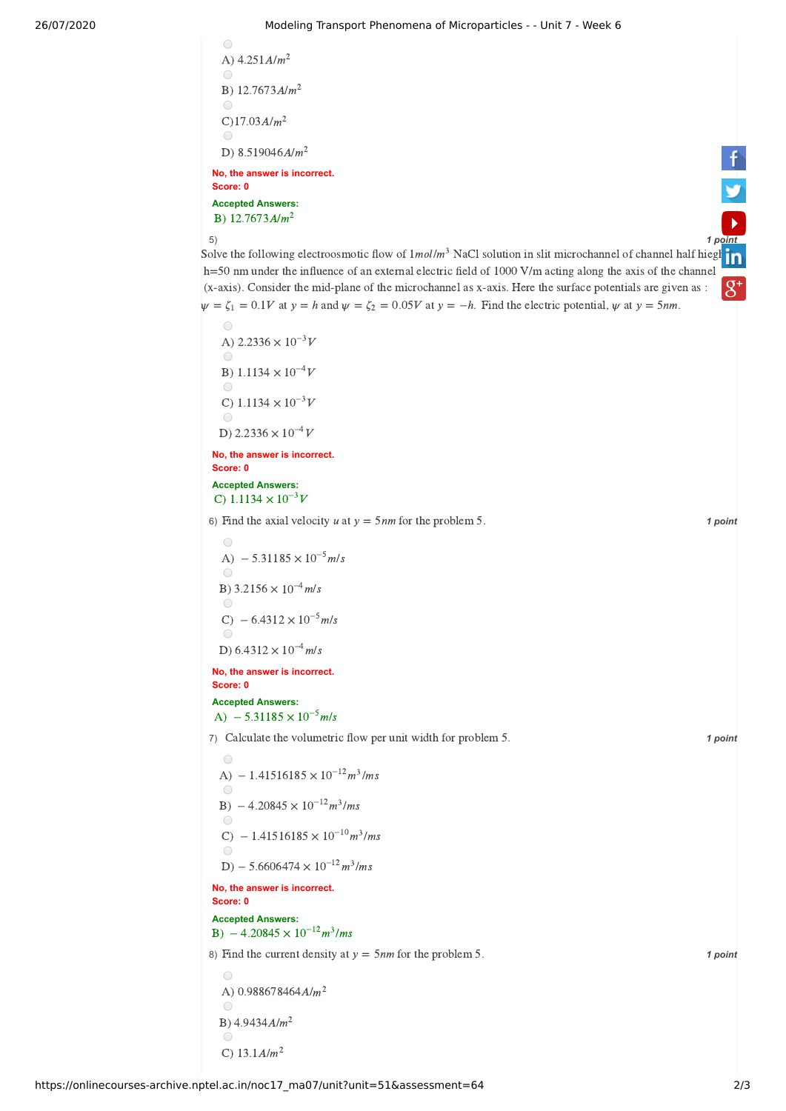## 26/07/2020 Modeling Transport Phenomena of Microparticles - - Unit 7 - Week 6

 $\bigcirc$ A)  $4.251 A/m^2$  $\bigcirc$ B)  $12.7673 A/m^2$  $\bigcirc$ C)17.03 $A/m^2$  $\bigcirc$ D) 8.519046 $A/m^2$ **No, the answer is incorrect. Score: 0 Accepted Answers:** B)  $12.7673A/m^2$ <sup>5)</sup><br>Solve the following electroosmotic flow of 1*mollm*<sup>3</sup> NaCl solution in slit microchannel of channel half hiegh h=50 nm under the influence of an external [el](https://plus.google.com/u/0/+nptelhrd)ectric field of 1000 V/m acting along the axis of the channel (x-axis). Consider the mid-plane of the microchannel as x-axis. Here the surface potentials are given as :  $\psi = \zeta_1 = 0.1V$  at  $y = h$  and  $\psi = \zeta_2 = 0.05V$  at  $y = -h$ . Find the electric potential,  $\psi$  at  $y = 5nm$ .  $\zeta_1 = 0.1V$  at  $y = h$ <br>  $\Theta$ <br>
A) 2.2336 × 10<sup>-3</sup>*V*  $\bigcirc$  $-3$ <sup>-</sup><br> $-4$ <sub>1</sub>  $\bigcirc$ B) 1.1134 × 10<sup>-4</sup> $V$ <br>
○ 1.1134 × 10<sup>-3</sup> $V$  $\bigcap$ C)  $1.1134 \times 10^{-3} V$ <br>
■  $\bigcirc$ D) 2.2336  $\times$  10<sup>-4</sup>V **No, the answer is incorrect. Score: 0<br>Accepted Answers:**<br>└○ 1 1134  $\times$  10<sup>-3</sup> 1 **Score: 0** C)  $1.1134 \times 10^{-3} V$ Find the axial velocity *u* at<br>
<br>
A)  $-5.31185 \times 10^{-5}$  m/s 6) Find the axial velocity *u* at  $y = 5nm$  for the problem 5.  $\frac{1}{2}$  **1 point** A)  $-5.31185 \times 10^{-5}$ <br>B) 3.2156 × 10<sup>-4</sup> m/s C) <sup>−</sup> 6.4312 <sup>×</sup> <sup>10</sup> / B) 3.2156  $\times 10^{-4}$  m/s  $-4$ D)  $6.4312 \times 10^{-4}$  m/s

**No, the answer is incorrect. Score: 0 Accepted Answers: No, the answer is incorrect.<br>Score: 0<br>Accepted Answers:**<br>A)  $-5.31185 \times 10^{-5}$  *m/s* 

7) Calculate the volumetric flow per unit width for problem 5. <br>
A)  $-1.41516185 \times 10^{-12} m^3 / ms$ **No, the answer is incorrect. Score: 0**  $-12 m^3$ A) – 1.41516185 × 10<sup>-12</sup> m<sup>3</sup>/<br>
B) – 4.20845 × 10<sup>-12</sup> m<sup>3</sup>/ms  $\times 10^{-12}$ <br> $^{-12}$   $m^3$ B) – 4.20845 × 10<sup>-12</sup> $m^3$ /ms<br>

■<br>
C) – 1.41516185 × 10<sup>-10</sup> $m^3$ /ms C) – 1.41516185 × 10<sup>-10</sup> m<sup>3</sup>/m.<br>
■<br>D) – 5.6606474 × 10<sup>-12</sup> m<sup>3</sup>/ms No, the answer is incorrect.<br>Score: 0<br>Accepted Answers:<br> $B) - 4.20845 \times 10^{-12} m^3 / ms$ 

**Accepted Answers:**

8) Find the current density at  $y = 5nm$  for the problem 5.  $\frac{4}{5}$  **1 point** 

```
\bigcircA) 0.988678464A/m^2B) 4.9434A/m^2\bigcircC) 13.1 A/m^2
```
https://onlinecourses-archive.nptel.ac.in/noc17\_ma07/unit?unit=51&assessment=64 2/3

 $\overline{\phantom{a}}$